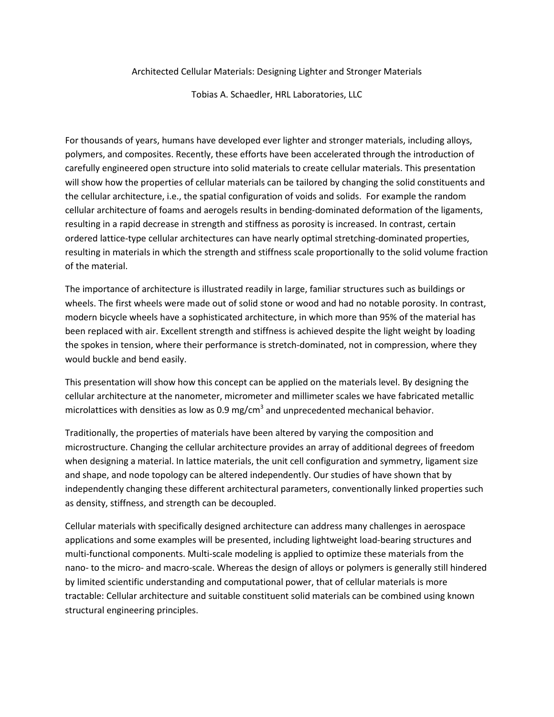Architected Cellular Materials: Designing Lighter and Stronger Materials

Tobias A. Schaedler, HRL Laboratories, LLC

For thousands of years, humans have developed ever lighter and stronger materials, including alloys, polymers, and composites. Recently, these efforts have been accelerated through the introduction of carefully engineered open structure into solid materials to create cellular materials. This presentation will show how the properties of cellular materials can be tailored by changing the solid constituents and the cellular architecture, i.e., the spatial configuration of voids and solids. For example the random cellular architecture of foams and aerogels results in bending-dominated deformation of the ligaments, resulting in a rapid decrease in strength and stiffness as porosity is increased. In contrast, certain ordered lattice-type cellular architectures can have nearly optimal stretching-dominated properties, resulting in materials in which the strength and stiffness scale proportionally to the solid volume fraction of the material.

The importance of architecture is illustrated readily in large, familiar structures such as buildings or wheels. The first wheels were made out of solid stone or wood and had no notable porosity. In contrast, modern bicycle wheels have a sophisticated architecture, in which more than 95% of the material has been replaced with air. Excellent strength and stiffness is achieved despite the light weight by loading the spokes in tension, where their performance is stretch-dominated, not in compression, where they would buckle and bend easily.

This presentation will show how this concept can be applied on the materials level. By designing the cellular architecture at the nanometer, micrometer and millimeter scales we have fabricated metallic microlattices with densities as low as 0.9 mg/cm<sup>3</sup> and unprecedented mechanical behavior.

Traditionally, the properties of materials have been altered by varying the composition and microstructure. Changing the cellular architecture provides an array of additional degrees of freedom when designing a material. In lattice materials, the unit cell configuration and symmetry, ligament size and shape, and node topology can be altered independently. Our studies of have shown that by independently changing these different architectural parameters, conventionally linked properties such as density, stiffness, and strength can be decoupled.

Cellular materials with specifically designed architecture can address many challenges in aerospace applications and some examples will be presented, including lightweight load-bearing structures and multi-functional components. Multi-scale modeling is applied to optimize these materials from the nano- to the micro- and macro-scale. Whereas the design of alloys or polymers is generally still hindered by limited scientific understanding and computational power, that of cellular materials is more tractable: Cellular architecture and suitable constituent solid materials can be combined using known structural engineering principles.